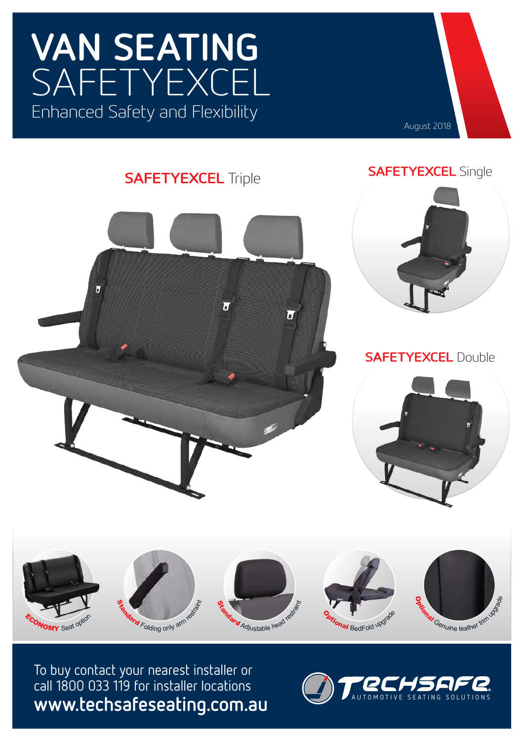# **VAN SEATING** SAFETYEXCEL Enhanced Safety and Flexibility



### **SAFETYEXCEL** Triple







#### **SAFETYEXCEL** Double





To buy contact your nearest installer or call 1800 033 119 for installer locations **www.techsafeseating.com.au**